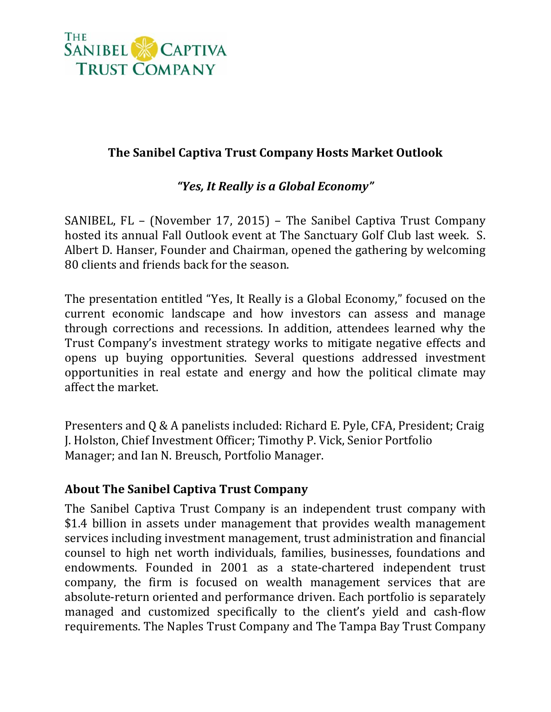

## **The Sanibel Captiva Trust Company Hosts Market Outlook**

## *"Yes, It Really is a Global Economy"*

SANIBEL, FL – (November 17, 2015) – The Sanibel Captiva Trust Company hosted its annual Fall Outlook event at The Sanctuary Golf Club last week. S. Albert D. Hanser, Founder and Chairman, opened the gathering by welcoming 80 clients and friends back for the season.

The presentation entitled "Yes, It Really is a Global Economy," focused on the current economic landscape and how investors can assess and manage through corrections and recessions. In addition, attendees learned why the Trust Company's investment strategy works to mitigate negative effects and opens up buying opportunities. Several questions addressed investment opportunities in real estate and energy and how the political climate may affect the market.

Presenters and Q & A panelists included: Richard E. Pyle, CFA, President; Craig J. Holston, Chief Investment Officer; Timothy P. Vick, Senior Portfolio Manager; and Ian N. Breusch, Portfolio Manager.

## **About The Sanibel Captiva Trust Company**

The Sanibel Captiva Trust Company is an independent trust company with \$1.4 billion in assets under management that provides wealth management services including investment management, trust administration and financial counsel to high net worth individuals, families, businesses, foundations and endowments. Founded in 2001 as a state-chartered independent trust company, the firm is focused on wealth management services that are absolute-return oriented and performance driven. Each portfolio is separately managed and customized specifically to the client's yield and cash-flow requirements. The Naples Trust Company and The Tampa Bay Trust Company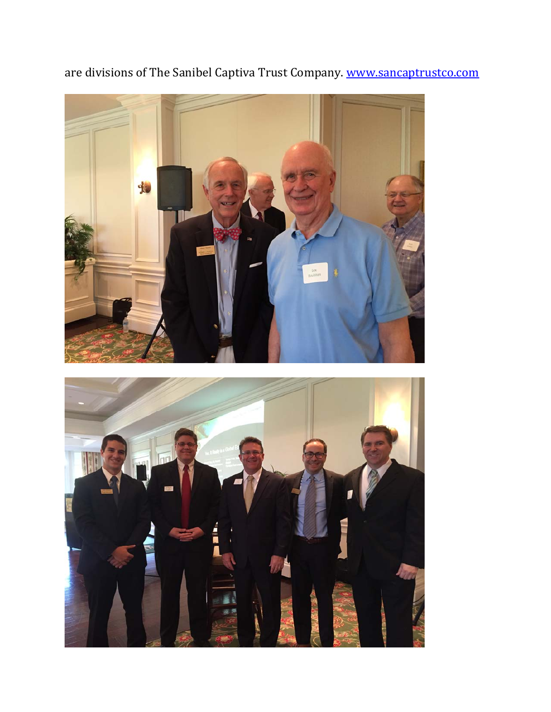

are divisions of The Sanibel Captiva Trust Company. www.sancaptrustco.com